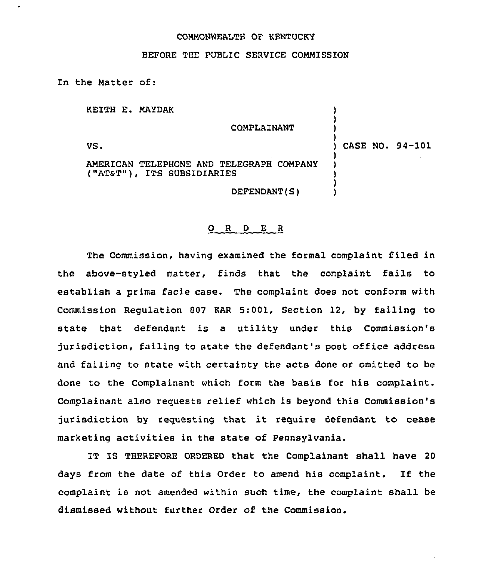## COMMONWEALTH OF KENTUCKY

## BEFORE THE PUBLIC SERVICE COMMISSION

In the Matter of:

KEITH E. MAYDAK

COMPLAINANT

VS.

) CASE NO. 94-101

) ) )

) ) ) ) )

AMERICAN TELEPHONE AND TELEGRAPH COMPANY ("AT&T"), ITS SUBSIDIARIES

DEFENDANT(S)

## 0 <sup>R</sup> <sup>D</sup> E <sup>R</sup>

The Commission, having examined the formal complaint filed in the above-styled matter, finds that the complaint fails to establish a prima facie case. The complaint does not conform with Commission Regulation 807 KAR 5:001, Section 12, by failing to state that defendant is a utility under this Commission's jurisdiction, failing to state the defendant's post office address and failing to state with certainty the acts done or omitted to be done to the Complainant which form the basis for his complaint. Complainant also requests relief which is beyond this Commission's jurisdiction by requesting that it require defendant to cease marketing activities in the state of Pennsylvania.

IT IS THEREFORE ORDERED that the Complainant shall have 20 days from the date of this Order to amend his complaint. If the complaint is not amended within such time, the complaint shall be dismissed without further Order of the Commission.